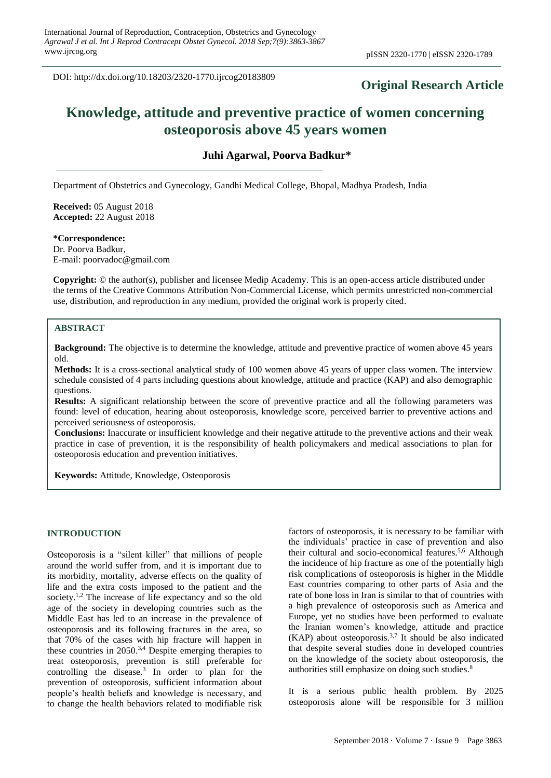DOI: http://dx.doi.org/10.18203/2320-1770.ijrcog20183809

# **Original Research Article**

# **Knowledge, attitude and preventive practice of women concerning osteoporosis above 45 years women**

**Juhi Agarwal, Poorva Badkur\***

Department of Obstetrics and Gynecology, Gandhi Medical College, Bhopal, Madhya Pradesh, India

**Received:** 05 August 2018 **Accepted:** 22 August 2018

**\*Correspondence:** Dr. Poorva Badkur,

E-mail: poorvadoc@gmail.com

**Copyright:** © the author(s), publisher and licensee Medip Academy. This is an open-access article distributed under the terms of the Creative Commons Attribution Non-Commercial License, which permits unrestricted non-commercial use, distribution, and reproduction in any medium, provided the original work is properly cited.

# **ABSTRACT**

**Background:** The objective is to determine the knowledge, attitude and preventive practice of women above 45 years old.

**Methods:** It is a cross-sectional analytical study of 100 women above 45 years of upper class women. The interview schedule consisted of 4 parts including questions about knowledge, attitude and practice (KAP) and also demographic questions.

**Results:** A significant relationship between the score of preventive practice and all the following parameters was found: level of education, hearing about osteoporosis, knowledge score, perceived barrier to preventive actions and perceived seriousness of osteoporosis.

**Conclusions:** Inaccurate or insufficient knowledge and their negative attitude to the preventive actions and their weak practice in case of prevention, it is the responsibility of health policymakers and medical associations to plan for osteoporosis education and prevention initiatives.

**Keywords:** Attitude, Knowledge, Osteoporosis

### **INTRODUCTION**

Osteoporosis is a "silent killer" that millions of people around the world suffer from, and it is important due to its morbidity, mortality, adverse effects on the quality of life and the extra costs imposed to the patient and the society.<sup>1,2</sup> The increase of life expectancy and so the old age of the society in developing countries such as the Middle East has led to an increase in the prevalence of osteoporosis and its following fractures in the area, so that 70% of the cases with hip fracture will happen in these countries in  $2050$ .<sup>3,4</sup> Despite emerging therapies to treat osteoporosis, prevention is still preferable for controlling the disease. $3$  In order to plan for the prevention of osteoporosis, sufficient information about people's health beliefs and knowledge is necessary, and to change the health behaviors related to modifiable risk

factors of osteoporosis, it is necessary to be familiar with the individuals' practice in case of prevention and also their cultural and socio-economical features.5,6 Although the incidence of hip fracture as one of the potentially high risk complications of osteoporosis is higher in the Middle East countries comparing to other parts of Asia and the rate of bone loss in Iran is similar to that of countries with a high prevalence of osteoporosis such as America and Europe, yet no studies have been performed to evaluate the Iranian women's knowledge, attitude and practice (KAP) about osteoporosis.<sup>3,7</sup> It should be also indicated that despite several studies done in developed countries on the knowledge of the society about osteoporosis, the authorities still emphasize on doing such studies.<sup>8</sup>

It is a serious public health problem. By 2025 osteoporosis alone will be responsible for 3 million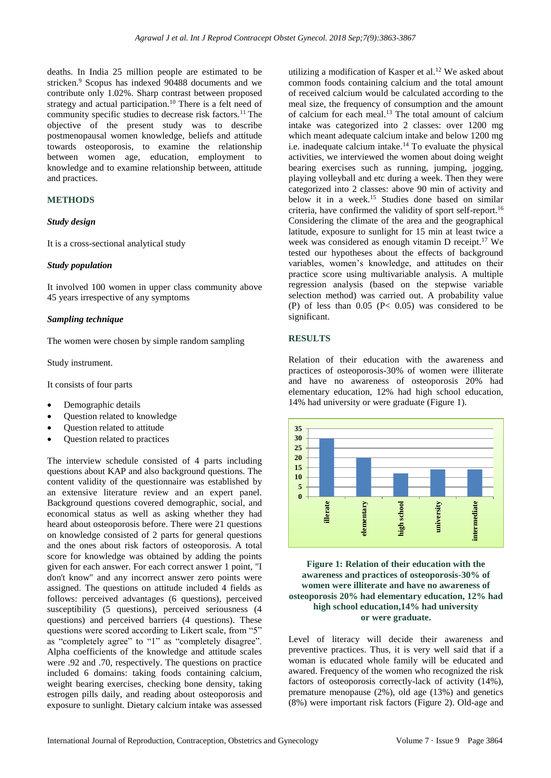deaths. In India 25 million people are estimated to be stricken.<sup>9</sup> Scopus has indexed 90488 documents and we contribute only 1.02%. Sharp contrast between proposed strategy and actual participation.<sup>10</sup> There is a felt need of community specific studies to decrease risk factors.<sup>11</sup> The objective of the present study was to describe postmenopausal women knowledge, beliefs and attitude towards osteoporosis, to examine the relationship between women age, education, employment to knowledge and to examine relationship between, attitude and practices.

# **METHODS**

#### *Study design*

It is a cross-sectional analytical study

#### *Study population*

It involved 100 women in upper class community above 45 years irrespective of any symptoms

### *Sampling technique*

The women were chosen by simple random sampling

Study instrument.

It consists of four parts

- Demographic details
- Question related to knowledge
- Question related to attitude
- Question related to practices

The interview schedule consisted of 4 parts including questions about KAP and also background questions. The content validity of the questionnaire was established by an extensive literature review and an expert panel. Background questions covered demographic, social, and economical status as well as asking whether they had heard about osteoporosis before. There were 21 questions on knowledge consisted of 2 parts for general questions and the ones about risk factors of osteoporosis. A total score for knowledge was obtained by adding the points given for each answer. For each correct answer 1 point, "I don't know" and any incorrect answer zero points were assigned. The questions on attitude included 4 fields as follows: perceived advantages (6 questions), perceived susceptibility (5 questions), perceived seriousness (4 questions) and perceived barriers (4 questions). These questions were scored according to Likert scale, from "5" as "completely agree" to "1" as "completely disagree". Alpha coefficients of the knowledge and attitude scales were .92 and .70, respectively. The questions on practice included 6 domains: taking foods containing calcium, weight bearing exercises, checking bone density, taking estrogen pills daily, and reading about osteoporosis and exposure to sunlight. Dietary calcium intake was assessed utilizing a modification of Kasper et al.<sup>12</sup> We asked about common foods containing calcium and the total amount of received calcium would be calculated according to the meal size, the frequency of consumption and the amount of calcium for each meal.<sup>13</sup> The total amount of calcium intake was categorized into 2 classes: over 1200 mg which meant adequate calcium intake and below 1200 mg i.e. inadequate calcium intake.<sup>14</sup> To evaluate the physical activities, we interviewed the women about doing weight bearing exercises such as running, jumping, jogging, playing volleyball and etc during a week. Then they were categorized into 2 classes: above 90 min of activity and below it in a week.<sup>15</sup> Studies done based on similar criteria, have confirmed the validity of sport self-report.<sup>16</sup> Considering the climate of the area and the geographical latitude, exposure to sunlight for 15 min at least twice a week was considered as enough vitamin D receipt.<sup>17</sup> We tested our hypotheses about the effects of background variables, women's knowledge, and attitudes on their practice score using multivariable analysis. A multiple regression analysis (based on the stepwise variable selection method) was carried out. A probability value (P) of less than  $0.05$  (P< 0.05) was considered to be significant.

# **RESULTS**

Relation of their education with the awareness and practices of osteoporosis-30% of women were illiterate and have no awareness of osteoporosis 20% had elementary education, 12% had high school education, 14% had university or were graduate (Figure 1).



# **Figure 1: Relation of their education with the awareness and practices of osteoporosis-30% of women were illiterate and have no awareness of osteoporosis 20% had elementary education, 12% had high school education,14% had university or were graduate.**

Level of literacy will decide their awareness and preventive practices. Thus, it is very well said that if a woman is educated whole family will be educated and awared. Frequency of the women who recognized the risk factors of osteoporosis correctly-lack of activity (14%), premature menopause (2%), old age (13%) and genetics (8%) were important risk factors (Figure 2). Old-age and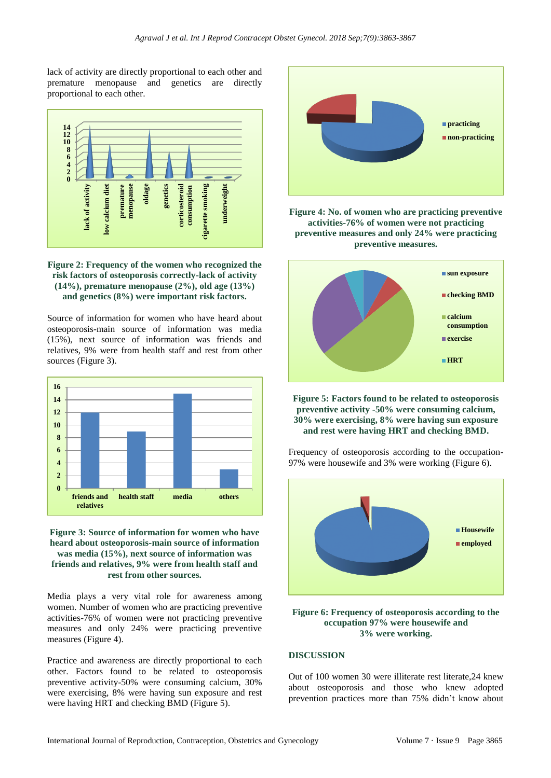lack of activity are directly proportional to each other and premature menopause and genetics are directly proportional to each other.



**Figure 2: Frequency of the women who recognized the risk factors of osteoporosis correctly-lack of activity (14%), premature menopause (2%), old age (13%) and genetics (8%) were important risk factors.**

Source of information for women who have heard about osteoporosis-main source of information was media (15%), next source of information was friends and relatives, 9% were from health staff and rest from other sources (Figure 3).



# **Figure 3: Source of information for women who have heard about osteoporosis-main source of information was media (15%), next source of information was friends and relatives, 9% were from health staff and rest from other sources.**

Media plays a very vital role for awareness among women. Number of women who are practicing preventive activities-76% of women were not practicing preventive measures and only 24% were practicing preventive measures (Figure 4).

Practice and awareness are directly proportional to each other. Factors found to be related to osteoporosis preventive activity-50% were consuming calcium, 30% were exercising, 8% were having sun exposure and rest were having HRT and checking BMD (Figure 5).



**Figure 4: No. of women who are practicing preventive activities-76% of women were not practicing preventive measures and only 24% were practicing preventive measures.**



**Figure 5: Factors found to be related to osteoporosis preventive activity -50% were consuming calcium, 30% were exercising, 8% were having sun exposure and rest were having HRT and checking BMD.**

Frequency of osteoporosis according to the occupation-97% were housewife and 3% were working (Figure 6).



### **Figure 6: Frequency of osteoporosis according to the occupation 97% were housewife and 3% were working.**

# **DISCUSSION**

Out of 100 women 30 were illiterate rest literate,24 knew about osteoporosis and those who knew adopted prevention practices more than 75% didn't know about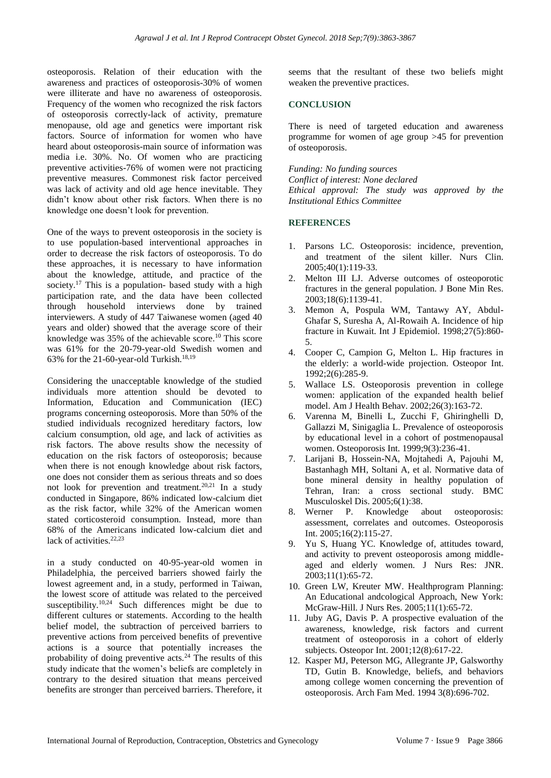osteoporosis. Relation of their education with the awareness and practices of osteoporosis-30% of women were illiterate and have no awareness of osteoporosis. Frequency of the women who recognized the risk factors of osteoporosis correctly-lack of activity, premature menopause, old age and genetics were important risk factors. Source of information for women who have heard about osteoporosis-main source of information was media i.e. 30%. No. Of women who are practicing preventive activities-76% of women were not practicing preventive measures. Commonest risk factor perceived was lack of activity and old age hence inevitable. They didn't know about other risk factors. When there is no knowledge one doesn't look for prevention.

One of the ways to prevent osteoporosis in the society is to use population-based interventional approaches in order to decrease the risk factors of osteoporosis. To do these approaches, it is necessary to have information about the knowledge, attitude, and practice of the society.<sup>17</sup> This is a population- based study with a high participation rate, and the data have been collected through household interviews done by trained interviewers. A study of 447 Taiwanese women (aged 40 years and older) showed that the average score of their knowledge was 35% of the achievable score.<sup>10</sup> This score was 61% for the 20-79-year-old Swedish women and 63% for the 21-60-year-old Turkish. 18,19

Considering the unacceptable knowledge of the studied individuals more attention should be devoted to Information, Education and Communication (IEC) programs concerning osteoporosis. More than 50% of the studied individuals recognized hereditary factors, low calcium consumption, old age, and lack of activities as risk factors. The above results show the necessity of education on the risk factors of osteoporosis; because when there is not enough knowledge about risk factors, one does not consider them as serious threats and so does not look for prevention and treatment.<sup>20,21</sup> In a study conducted in Singapore, 86% indicated low-calcium diet as the risk factor, while 32% of the American women stated corticosteroid consumption. Instead, more than 68% of the Americans indicated low-calcium diet and lack of activities.<sup>22,23</sup>

in a study conducted on 40-95-year-old women in Philadelphia, the perceived barriers showed fairly the lowest agreement and, in a study, performed in Taiwan, the lowest score of attitude was related to the perceived susceptibility.<sup>10,24</sup> Such differences might be due to different cultures or statements. According to the health belief model, the subtraction of perceived barriers to preventive actions from perceived benefits of preventive actions is a source that potentially increases the probability of doing preventive acts.<sup>24</sup> The results of this study indicate that the women's beliefs are completely in contrary to the desired situation that means perceived benefits are stronger than perceived barriers. Therefore, it seems that the resultant of these two beliefs might weaken the preventive practices.

#### **CONCLUSION**

There is need of targeted education and awareness programme for women of age group >45 for prevention of osteoporosis.

*Funding: No funding sources Conflict of interest: None declared Ethical approval: The study was approved by the Institutional Ethics Committee*

#### **REFERENCES**

- 1. Parsons LC. Osteoporosis: incidence, prevention, and treatment of the silent killer. Nurs Clin. 2005;40(1):119-33.
- 2. Melton III LJ. Adverse outcomes of osteoporotic fractures in the general population. J Bone Min Res. 2003;18(6):1139-41.
- 3. Memon A, Pospula WM, Tantawy AY, Abdul-Ghafar S, Suresha A, Al-Rowaih A. Incidence of hip fracture in Kuwait. Int J Epidemiol. 1998;27(5):860- 5.
- 4. Cooper C, Campion G, Melton L. Hip fractures in the elderly: a world-wide projection. Osteopor Int. 1992;2(6):285-9.
- 5. Wallace LS. Osteoporosis prevention in college women: application of the expanded health belief model. Am J Health Behav. 2002;26(3):163-72.
- 6. Varenna M, Binelli L, Zucchi F, Ghiringhelli D, Gallazzi M, Sinigaglia L. Prevalence of osteoporosis by educational level in a cohort of postmenopausal women. Osteoporosis Int. 1999;9(3):236-41.
- 7. Larijani B, Hossein-NA, Mojtahedi A, Pajouhi M, Bastanhagh MH, Soltani A, et al. Normative data of bone mineral density in healthy population of Tehran, Iran: a cross sectional study. BMC Musculoskel Dis. 2005;6(1):38.
- 8. Werner P. Knowledge about osteoporosis: assessment, correlates and outcomes. Osteoporosis Int. 2005;16(2):115-27.
- 9. Yu S, Huang YC. Knowledge of, attitudes toward, and activity to prevent osteoporosis among middleaged and elderly women. J Nurs Res: JNR. 2003;11(1):65-72.
- 10. Green LW, Kreuter MW. Healthprogram Planning: An Educational andcological Approach, New York: McGraw-Hill. J Nurs Res. 2005;11(1):65-72.
- 11. Juby AG, Davis P. A prospective evaluation of the awareness, knowledge, risk factors and current treatment of osteoporosis in a cohort of elderly subjects. Osteopor Int. 2001;12(8):617-22.
- 12. Kasper MJ, Peterson MG, Allegrante JP, Galsworthy TD, Gutin B. Knowledge, beliefs, and behaviors among college women concerning the prevention of osteoporosis. Arch Fam Med. 1994 3(8):696-702.